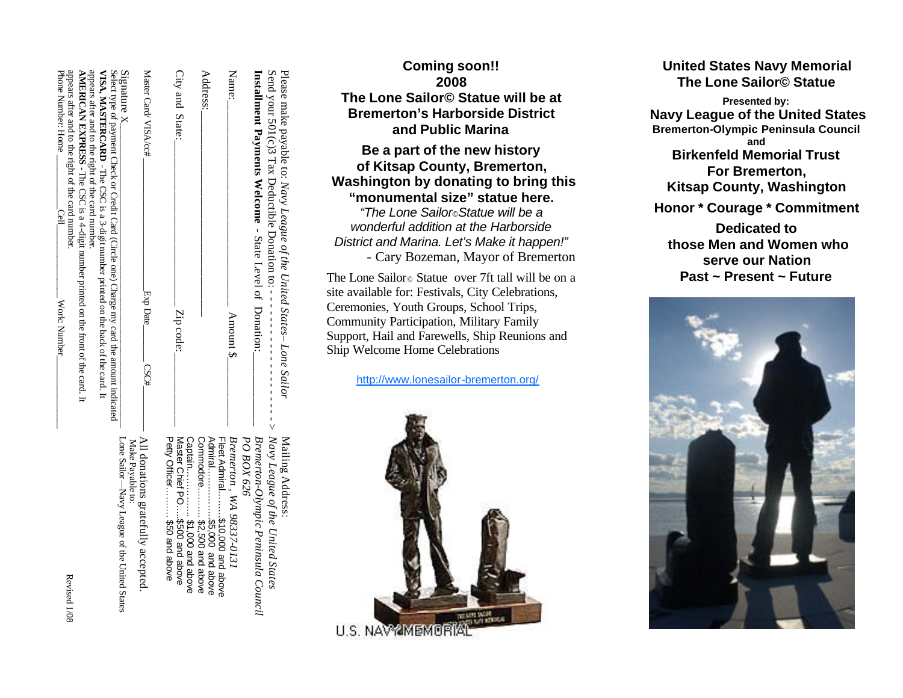| appears after and to the right of the card number.<br>Phone Number: Home<br><b>ANDERICAN EXPANDICATE CONSIDERATION</b> CONSIDERITY A 4-digit and -4-digital data consider a property consider to the CONSIDERICATE CONSIDERING CONSIDERATION CONSIDERATION CONSIDERATION CONSIDERATION CONSIDERATION CONSIDERAT<br>Cell<br>Work: Number | appears after and to the right of the card number<br>Select type of payment Check or Credit Card (Circle one) Charge my card the amount indicated<br>VISA, MASTERCARD - The CSC is a 3-digit number printed on the back of the card. It | $Si$ gnature $X_{-}$                                                                                   | Master Card/VISA/cc#<br>Exp Date_<br>ESC# | City and State:<br>Zip code:                                   | Address:                    |                                 | Name:<br>Amount \$                     | <b>Installment Payments Welcome - State Level of Donation:</b> | Send your 501(c)3 Tax Deductible Donation to: $-$<br>Please make payable to: Navy League of the United States-Lone Sailor |  |
|-----------------------------------------------------------------------------------------------------------------------------------------------------------------------------------------------------------------------------------------------------------------------------------------------------------------------------------------|-----------------------------------------------------------------------------------------------------------------------------------------------------------------------------------------------------------------------------------------|--------------------------------------------------------------------------------------------------------|-------------------------------------------|----------------------------------------------------------------|-----------------------------|---------------------------------|----------------------------------------|----------------------------------------------------------------|---------------------------------------------------------------------------------------------------------------------------|--|
| Revised 1/08                                                                                                                                                                                                                                                                                                                            |                                                                                                                                                                                                                                         | All donations gratefully accepted.<br>Lone Sailor—Navy League of the United States<br>Make Payable to: |                                           | Petty Officer \$50 and aboxe<br>Master Chief PO\$500 and above | Commodore \$2,500 and above | Fleet Admiral\$10,000 and above | Bremerton, WA 98337-0131<br>PO BOX 626 | Bremerton-Olympic Peninsula Council                            | $\epsilon$ - $\epsilon$ Navy League of the United States<br>Mailing Address:                                              |  |

# **Coming soon!! 2008 The Lone Sailor© Statue will be at Bremerton's Harborside District and Public Marina**

**Be a part of the new history of Kitsap County, Bremerton, Washington by donating to bring this "monumental size" statue here.** *"The Lone Sailor©Statue will be a wonderful addition at the Harborside District and Marina. Let's Make it happen!"* - Cary Bozeman, Mayor of Bremerton

The Lone Sailor⊚ Statue over 7ft tall will be on a site available for: Festivals, City Celebrations, Ceremonies, Youth Groups, School Trips, Community Participation, Military Family Support, Hail and Farewells, Ship Reunions and Ship Welcome Home Celebrations

http://www.lonesailor-bremerton.org/



# **United States Navy Memorial The Lone Sailor© Statue**

**Presented by: Navy League of the United States Bremerton-Olympic Peninsula Council and Birkenfeld Memorial Trust For Bremerton, Kitsap County, Washington Honor \* Courage \* Commitment Dedicated to those Men and Women who serve our Nation Past ~ Present ~ Future**